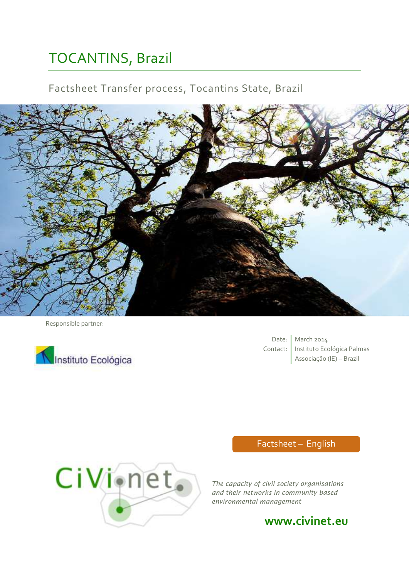# TOCANTINS, Brazil

# Factsheet Transfer process, Tocantins State, Brazil



Responsible partner:



Date: March 2014 Contact: | Instituto Ecológica Palmas Associação (IE) – Brazil

# CiVionet.

# Factsheet – English

*The capacity of civil society organisations and their networks in community based environmental management*

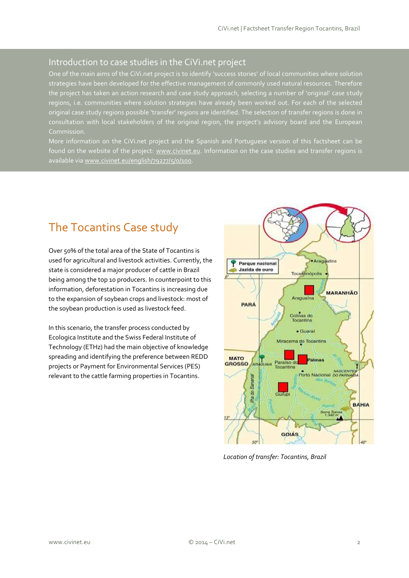#### Introduction to case studies in the CiVi.net project

One of the main aims of the CiVi.net project is to identify 'success stories' of local communities where solution strategies have been developed for the effective management of commonly used natural resources. Therefore the project has taken an action research and case study approach, selecting a number of 'original' case study regions, i.e. communities where solution strategies have already been worked out. For each of the selected original case study regions possible 'transfer' regions are identified. The selection of transfer regions is done in consultation with local stakeholders of the original region, the project's advisory board and the European

More information on the CiVi.net project and the Spanish and Portuguese version of this factsheet can be found on the website of the project: [www.civinet.eu.](http://www.civinet.eu/) Information on the case studies and transfer regions is available vi[a www.civinet.eu/english/79277/5/0/100.](http://www.civinet.eu/english/79277/5/0/100)

# The Tocantins Case study

Over 50% of the total area of the State of Tocantins is used for agricultural and livestock activities. Currently, the state is considered a major producer of cattle in Brazil being among the top 10 producers. In counterpoint to this information, deforestation in Tocantins is increasing due to the expansion of soybean crops and livestock: most of the soybean production is used as livestock feed.

In this scenario, the transfer process conducted by Ecologica Institute and the Swiss Federal Institute of Technology (ETHz) had the main objective of knowledge spreading and identifying the preference between REDD projects or Payment for Environmental Services (PES) relevant to the cattle farming properties in Tocantins.



*Location of transfer: Tocantins, Brazil*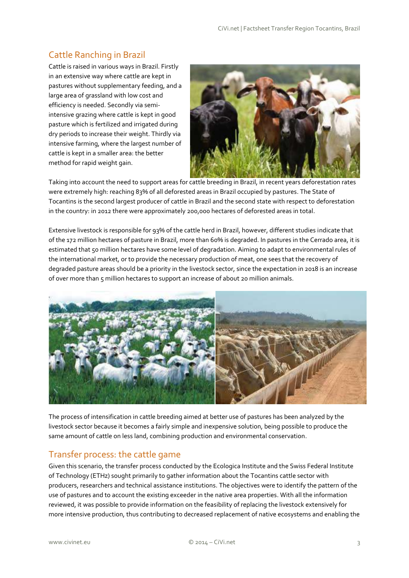## Cattle Ranching in Brazil

Cattle is raised in various ways in Brazil. Firstly in an extensive way where cattle are kept in pastures without supplementary feeding, and a large area of grassland with low cost and efficiency is needed. Secondly via semiintensive grazing where cattle is kept in good pasture which is fertilized and irrigated during dry periods to increase their weight. Thirdly via intensive farming, where the largest number of cattle is kept in a smaller area: the better method for rapid weight gain.



Taking into account the need to support areas for cattle breeding in Brazil, in recent years deforestation rates were extremely high: reaching 83% of all deforested areas in Brazil occupied by pastures. The State of Tocantins is the second largest producer of cattle in Brazil and the second state with respect to deforestation in the country: in 2012 there were approximately 200,000 hectares of deforested areas in total.

Extensive livestock is responsible for 93% of the cattle herd in Brazil, however, different studies indicate that of the 172 million hectares of pasture in Brazil, more than 60% is degraded. In pastures in the Cerrado area, it is estimated that 50 million hectares have some level of degradation. Aiming to adapt to environmental rules of the international market, or to provide the necessary production of meat, one sees that the recovery of degraded pasture areas should be a priority in the livestock sector, since the expectation in 2018 is an increase of over more than 5 million hectares to support an increase of about 20 million animals.



The process of intensification in cattle breeding aimed at better use of pastures has been analyzed by the livestock sector because it becomes a fairly simple and inexpensive solution, being possible to produce the same amount of cattle on less land, combining production and environmental conservation.

#### Transfer process: the cattle game

Given this scenario, the transfer process conducted by the Ecologica Institute and the Swiss Federal Institute of Technology (ETHz) sought primarily to gather information about the Tocantins cattle sector with producers, researchers and technical assistance institutions. The objectives were to identify the pattern of the use of pastures and to account the existing exceeder in the native area properties. With all the information reviewed, it was possible to provide information on the feasibility of replacing the livestock extensively for more intensive production, thus contributing to decreased replacement of native ecosystems and enabling the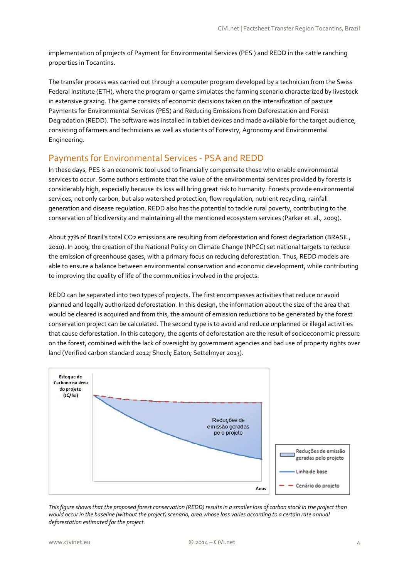implementation of projects of Payment for Environmental Services (PES ) and REDD in the cattle ranching properties in Tocantins.

The transfer process was carried out through a computer program developed by a technician from the Swiss Federal Institute (ETH), where the program or game simulates the farming scenario characterized by livestock in extensive grazing. The game consists of economic decisions taken on the intensification of pasture Payments for Environmental Services (PES) and Reducing Emissions from Deforestation and Forest Degradation (REDD). The software was installed in tablet devices and made available for the target audience, consisting of farmers and technicians as well as students of Forestry, Agronomy and Environmental Engineering.

#### Payments for Environmental Services - PSA and REDD

In these days, PES is an economic tool used to financially compensate those who enable environmental services to occur. Some authors estimate that the value of the environmental services provided by forests is considerably high, especially because its loss will bring great risk to humanity. Forests provide environmental services, not only carbon, but also watershed protection, flow regulation, nutrient recycling, rainfall generation and disease regulation. REDD also has the potential to tackle rural poverty, contributing to the conservation of biodiversity and maintaining all the mentioned ecosystem services (Parker et. al., 2009).

About 77% of Brazil's total CO2 emissions are resulting from deforestation and forest degradation (BRASIL, 2010). In 2009, the creation of the National Policy on Climate Change (NPCC) set national targets to reduce the emission of greenhouse gases, with a primary focus on reducing deforestation. Thus, REDD models are able to ensure a balance between environmental conservation and economic development, while contributing to improving the quality of life of the communities involved in the projects.

REDD can be separated into two types of projects. The first encompasses activities that reduce or avoid planned and legally authorized deforestation. In this design, the information about the size of the area that would be cleared is acquired and from this, the amount of emission reductions to be generated by the forest conservation project can be calculated. The second type is to avoid and reduce unplanned or illegal activities that cause deforestation. In this category, the agents of deforestation are the result of socioeconomic pressure on the forest, combined with the lack of oversight by government agencies and bad use of property rights over land (Verified carbon standard 2012; Shoch; Eaton; Settelmyer 2013).



*This figure shows that the proposed forest conservation (REDD) results in a smaller loss of carbon stock in the project than would occur in the baseline (without the project) scenario, area whose loss varies according to a certain rate annual deforestation estimated for the project.*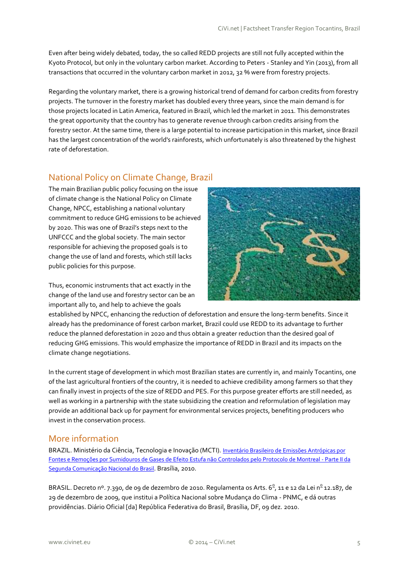Even after being widely debated, today, the so called REDD projects are still not fully accepted within the Kyoto Protocol, but only in the voluntary carbon market. According to Peters - Stanley and Yin (2013), from all transactions that occurred in the voluntary carbon market in 2012, 32 % were from forestry projects.

Regarding the voluntary market, there is a growing historical trend of demand for carbon credits from forestry projects. The turnover in the forestry market has doubled every three years, since the main demand is for those projects located in Latin America, featured in Brazil, which led the market in 2011. This demonstrates the great opportunity that the country has to generate revenue through carbon credits arising from the forestry sector. At the same time, there is a large potential to increase participation in this market, since Brazil has the largest concentration of the world's rainforests, which unfortunately is also threatened by the highest rate of deforestation.

### National Policy on Climate Change, Brazil

The main Brazilian public policy focusing on the issue of climate change is the National Policy on Climate Change, NPCC, establishing a national voluntary commitment to reduce GHG emissions to be achieved by 2020. This was one of Brazil's steps next to the UNFCCC and the global society. The main sector responsible for achieving the proposed goals is to change the use of land and forests, which still lacks public policies for this purpose.

Thus, economic instruments that act exactly in the change of the land use and forestry sector can be an important ally to, and help to achieve the goals



established by NPCC, enhancing the reduction of deforestation and ensure the long-term benefits. Since it already has the predominance of forest carbon market, Brazil could use REDD to its advantage to further reduce the planned deforestation in 2020 and thus obtain a greater reduction than the desired goal of reducing GHG emissions. This would emphasize the importance of REDD in Brazil and its impacts on the climate change negotiations.

In the current stage of development in which most Brazilian states are currently in, and mainly Tocantins, one of the last agricultural frontiers of the country, it is needed to achieve credibility among farmers so that they can finally invest in projects of the size of REDD and PES. For this purpose greater efforts are still needed, as well as working in a partnership with the state subsidizing the creation and reformulation of legislation may provide an additional back up for payment for environmental services projects, benefiting producers who invest in the conservation process.

#### More information

BRAZIL. Ministério da Ciência, Tecnologia e Inovação (MCTI). [Inventário Brasileiro de Emissões Antrópicas por](http://www.mct.gov.br/upd_blob/0214/214061.pdf)  [Fontes e Remoções por Sumidouros de Gases de Efeito Estufa não Controlados pelo Protocolo de Montreal -](http://www.mct.gov.br/upd_blob/0214/214061.pdf) Parte II da [Segunda Comunicação Nacional do](http://www.mct.gov.br/upd_blob/0214/214061.pdf) Brasil. Brasília, 2010.

BRASIL. Decreto nº. 7.390, de o9 de dezembro de 2010. Regulamenta os Arts. 6<sup>º</sup>, 11 e 12 da Lei nº 12.187, de 29 de dezembro de 2009, que institui a Política Nacional sobre Mudança do Clima - PNMC, e dá outras providências. Diário Oficial [da] República Federativa do Brasil, Brasília, DF, 09 dez. 2010.